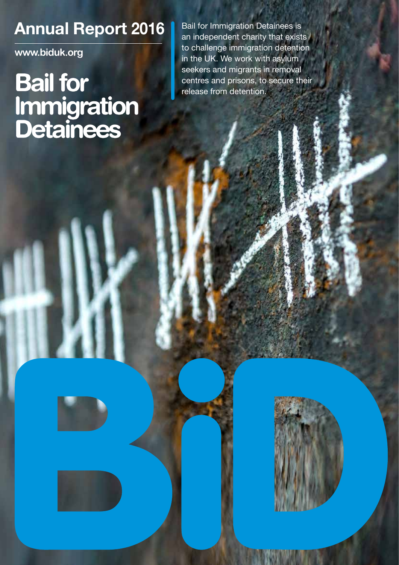### **Annual Report 2016** Bail for Immigration Detainees is

**www.biduk.org**

## **Bail for** Immigration **Detainees**

an independent charity that exists to challenge immigration detention in the UK. We work with asylum seekers and migrants in removal centres and prisons, to secure their release from detention.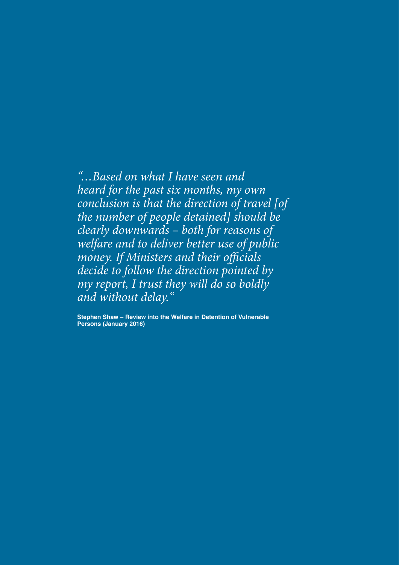*"…Based on what I have seen and heard for the past six months, my own conclusion is that the direction of travel [of the number of people detained] should be clearly downwards – both for reasons of welfare and to deliver better use of public money. If Ministers and their officials decide to follow the direction pointed by my report, I trust they will do so boldly and without delay."*

**Stephen Shaw – Review into the Welfare in Detention of Vulnerable Persons (January 2016)**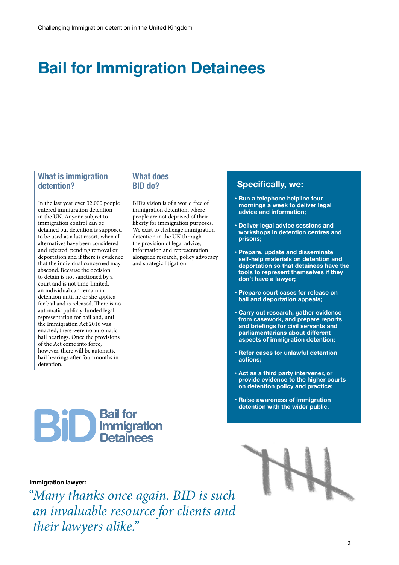### **Bail for Immigration Detainees**

#### **What is immigration detention?**

In the last year over 32,000 people entered immigration detention in the UK. Anyone subject to immigration control can be detained but detention is supposed to be used as a last resort, when all alternatives have been considered and rejected, pending removal or deportation and if there is evidence that the individual concerned may abscond. Because the decision to detain is not sanctioned by a court and is not time-limited, an individual can remain in detention until he or she applies for bail and is released. There is no automatic publicly-funded legal representation for bail and, until the Immigration Act 2016 was enacted, there were no automatic bail hearings. Once the provisions of the Act come into force, however, there will be automatic bail hearings after four months in detention.

#### **What does BID do?**

BID's vision is of a world free of immigration detention, where people are not deprived of their liberty for immigration purposes. We exist to challenge immigration detention in the UK through the provision of legal advice, information and representation alongside research, policy advocacy and strategic litigation.

#### **Specifically, we:**

- **Run a telephone helpline four mornings a week to deliver legal advice and information;**
- **Deliver legal advice sessions and workshops in detention centres and prisons;**
- **Prepare, update and disseminate self-help materials on detention and deportation so that detainees have the tools to represent themselves if they don't have a lawyer;**
- **Prepare court cases for release on bail and deportation appeals;**
- **Carry out research, gather evidence from casework, and prepare reports and briefings for civil servants and parliamentarians about different aspects of immigration detention;**
- **• Refer cases for unlawful detention actions;**
- **Act as a third party intervener, or provide evidence to the higher courts on detention policy and practice;**
- **Raise awareness of immigration detention with the wider public.**



#### **Immigration lawyer:**

*"Many thanks once again. BID is such an invaluable resource for clients and their lawyers alike."*

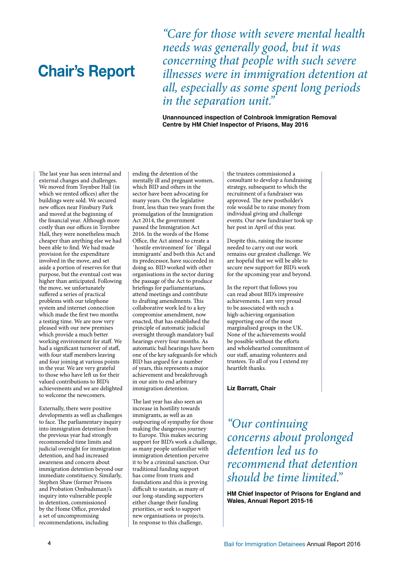### **Chair's Report**

*"Care for those with severe mental health needs was generally good, but it was concerning that people with such severe illnesses were in immigration detention at all, especially as some spent long periods in the separation unit."* 

**Unannounced inspection of Colnbrook Immigration Removal Centre by HM Chief Inspector of Prisons, May 2016**

The last year has seen internal and external changes and challenges. We moved from Toynbee Hall (in which we rented offices) after the buildings were sold. We secured new offices near Finsbury Park and moved at the beginning of the financial year. Although more costly than our offices in Toynbee Hall, they were nonetheless much cheaper than anything else we had been able to find. We had made provision for the expenditure involved in the move, and set aside a portion of reserves for that purpose, but the eventual cost was higher than anticipated. Following the move, we unfortunately suffered a series of practical problems with our telephone system and internet connection which made the first two months a testing time. We are now very pleased with our new premises which provide a much better working environment for staff. We had a significant turnover of staff, with four staff members leaving and four joining at various points in the year. We are very grateful to those who have left us for their valued contributions to BID's achievements and we are delighted to welcome the newcomers.

Externally, there were positive developments as well as challenges to face. The parliamentary inquiry into immigration detention from the previous year had strongly recommended time limits and judicial oversight for immigration detention, and had increased awareness and concern about immigration detention beyond our immediate constituency. Similarly, Stephen Shaw (former Prisons and Probation Ombudsman)'s inquiry into vulnerable people in detention, commissioned by the Home Office, provided a set of uncompromising recommendations, including

ending the detention of the mentally ill and pregnant women, which BID and others in the sector have been advocating for many years. On the legislative front, less than two years from the promulgation of the Immigration Act 2014, the government passed the Immigration Act 2016. In the words of the Home Office, the Act aimed to create a `hostile environment' for `illegal immigrants' and both this Act and its predecessor, have succeeded in doing so. BID worked with other organisations in the sector during the passage of the Act to produce briefings for parliamentarians, attend meetings and contribute to drafting amendments. This collaborative work led to a key compromise amendment, now enacted, that has established the principle of automatic judicial oversight through mandatory bail hearings every four months. As automatic bail hearings have been one of the key safeguards for which BID has argued for a number of years, this represents a major achievement and breakthrough in our aim to end arbitrary immigration detention.

The last year has also seen an increase in hostility towards immigrants, as well as an outpouring of sympathy for those making the dangerous journey to Europe. This makes securing support for BID's work a challenge, as many people unfamiliar with immigration detention perceive it to be a criminal sanction. Our traditional funding support has come from trusts and foundations and this is proving difficult to sustain, as many of our long-standing supporters either change their funding priorities, or seek to support new organisations or projects. In response to this challenge,

the trustees commissioned a consultant to develop a fundraising strategy, subsequent to which the recruitment of a fundraiser was approved. The new postholder's role would be to raise money from individual giving and challenge events. Our new fundraiser took up her post in April of this year.

Despite this, raising the income needed to carry out our work remains our greatest challenge. We are hopeful that we will be able to secure new support for BID's work for the upcoming year and beyond.

In the report that follows you can read about BID's impressive achievements. I am very proud to be associated with such a high-achieving organisation supporting one of the most marginalised groups in the UK. None of the achievements would be possible without the efforts and wholehearted commitment of our staff, amazing volunteers and trustees. To all of you I extend my heartfelt thanks.

**Liz Barratt, Chair**

*"Our continuing concerns about prolonged detention led us to recommend that detention should be time limited."*

**HM Chief Inspector of Prisons for England and Wales, Annual Report 2015-16**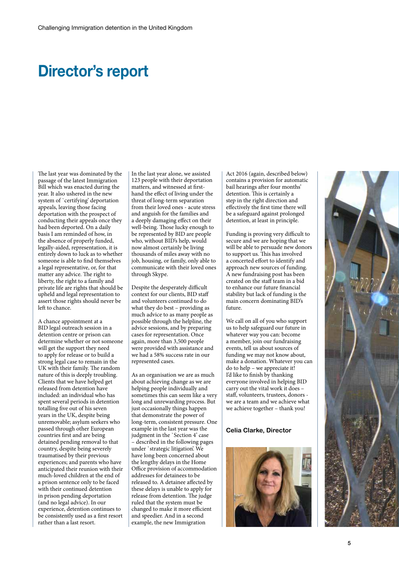### **Director's report**

The last year was dominated by the passage of the latest Immigration Bill which was enacted during the year. It also ushered in the new system of `certifying' deportation appeals, leaving those facing deportation with the prospect of conducting their appeals once they had been deported. On a daily basis I am reminded of how, in the absence of properly funded, legally-aided, representation, it is entirely down to luck as to whether someone is able to find themselves a legal representative, or, for that matter any advice. The right to liberty, the right to a family and private life are rights that should be upheld and legal representation to assert those rights should never be left to chance.

A chance appointment at a BID legal outreach session in a detention centre or prison can determine whether or not someone will get the support they need to apply for release or to build a strong legal case to remain in the UK with their family. The random nature of this is deeply troubling. Clients that we have helped get released from detention have included: an individual who has spent several periods in detention totalling five out of his seven years in the UK, despite being unremovable; asylum seekers who passed through other European countries first and are being detained pending removal to that country, despite being severely traumatised by their previous experiences; and parents who have anticipated their reunion with their much-loved children at the end of a prison sentence only to be faced with their continued detention in prison pending deportation (and no legal advice). In our experience, detention continues to be consistently used as a first resort rather than a last resort.

In the last year alone, we assisted 123 people with their deportation matters, and witnessed at firsthand the effect of living under the threat of long-term separation from their loved ones - acute stress and anguish for the families and a deeply damaging effect on their well-being. Those lucky enough to be represented by BID are people who, without BID's help, would now almost certainly be living thousands of miles away with no job, housing, or family, only able to communicate with their loved ones through Skype.

Despite the desperately difficult context for our clients, BID staff and volunteers continued to do what they do best – providing as much advice to as many people as possible through the helpline, the advice sessions, and by preparing cases for representation. Once again, more than 3,500 people were provided with assistance and we had a 58% success rate in our represented cases.

As an organisation we are as much about achieving change as we are helping people individually and sometimes this can seem like a very long and unrewarding process. But just occasionally things happen that demonstrate the power of long-term, consistent pressure. One example in the last year was the judgment in the 'Section 4' case – described in the following pages under `strategic litigation'. We have long been concerned about the lengthy delays in the Home Office provision of accommodation addresses for detainees to be released to. A detainee affected by these delays is unable to apply for release from detention. The judge ruled that the system must be changed to make it more efficient and speedier. And in a second example, the new Immigration

Act 2016 (again, described below) contains a provision for automatic bail hearings after four months' detention. This is certainly a step in the right direction and effectively the first time there will be a safeguard against prolonged detention, at least in principle.

Funding is proving very difficult to secure and we are hoping that we will be able to persuade new donors to support us. This has involved a concerted effort to identify and approach new sources of funding. A new fundraising post has been created on the staff team in a bid to enhance our future financial stability but lack of funding is the main concern dominating BID's future.

We call on all of you who support us to help safeguard our future in whatever way you can: become a member, join our fundraising events, tell us about sources of funding we may not know about, make a donation. Whatever you can do to help – we appreciate it! I'd like to finish by thanking everyone involved in helping BID carry out the vital work it does – staff, volunteers, trustees, donors we are a team and we achieve what we achieve together – thank you!

#### **Celia Clarke, Director**



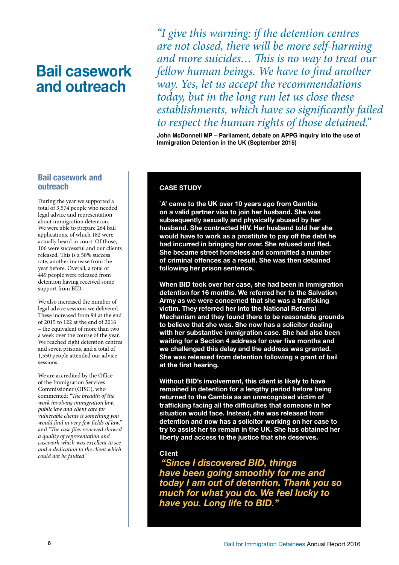### **Bail casework and outreach**

*"I give this warning: if the detention centres are not closed, there will be more self-harming and more suicides… This is no way to treat our fellow human beings. We have to find another way. Yes, let us accept the recommendations today, but in the long run let us close these establishments, which have so significantly failed to respect the human rights of those detained."* 

**John McDonnell MP – Parliament, debate on APPG Inquiry into the use of Immigration Detention in the UK (September 2015)**

#### **Bail casework and outreach**

During the year we supported a total of 3,574 people who needed legal advice and representation about immigration detention. We were able to prepare 264 bail applications, of which 182 were actually heard in court. Of those, 106 were successful and our clients released. This is a 58% success rate, another increase from the year before. Overall, a total of 449 people were released from detention having received some support from BID.

We also increased the number of legal advice sessions we delivered. These increased from 94 at the end of 2015 to 122 at the end of 2016 – the equivalent of more than two a week over the course of the year. We reached eight detention centres and seven prisons, and a total of 1,550 people attended our advice sessions.

We are accredited by the Office of the Immigration Services Commissioner (OISC), who commented: *"The breadth of the work involving immigration law, public law and client care for vulnerable clients is something you would find in very few fields of law."*  and *"The case files reviewed showed a quality of representation and casework which was excellent to see and a dedication to the client which could not be faulted."*

#### **CASE STUDY**

**`A' came to the UK over 10 years ago from Gambia on a valid partner visa to join her husband. She was subsequently sexually and physically abused by her husband. She contracted HIV. Her husband told her she would have to work as a prostitute to pay off the debt he had incurred in bringing her over. She refused and fled. She became street homeless and committed a number of criminal offences as a result. She was then detained following her prison sentence.**

**When BID took over her case, she had been in immigration detention for 16 months. We referred her to the Salvation Army as we were concerned that she was a trafficking victim. They referred her into the National Referral Mechanism and they found there to be reasonable grounds to believe that she was. She now has a solicitor dealing with her substantive immigration case. She had also been waiting for a Section 4 address for over five months and we challenged this delay and the address was granted. She was released from detention following a grant of bail at the first hearing.** 

**Without BID's involvement, this client is likely to have remained in detention for a lengthy period before being returned to the Gambia as an unrecognised victim of trafficking facing all the difficulties that someone in her situation would face. Instead, she was released from detention and now has a solicitor working on her case to try to assist her to remain in the UK. She has obtained her liberty and access to the justice that she deserves.** 

#### **Client**

*"Since I discovered BID, things have been going smoothly for me and today I am out of detention. Thank you so much for what you do. We feel lucky to have you. Long life to BID."*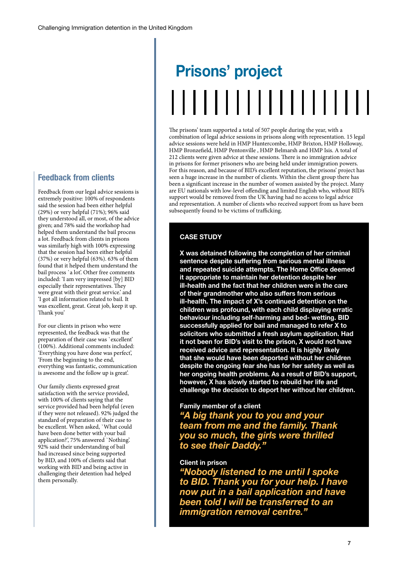#### **Feedback from clients**

Feedback from our legal advice sessions is extremely positive: 100% of respondents said the session had been either helpful (29%) or very helpful (71%); 96% said they understood all, or most, of the advice given; and 78% said the workshop had helped them understand the bail process a lot. Feedback from clients in prisons was similarly high with 100% expressing that the session had been either helpful (37%) or very helpful (63%). 63% of them found that it helped them understand the bail process `a lot'. Other free comments included: 'I am very impressed [by] BID especially their representatives. They were great with their great service.' and 'I got all information related to bail. It was excellent, great. Great job, keep it up. Thank you'

For our clients in prison who were represented, the feedback was that the preparation of their case was `excellent' (100%). Additional comments included: 'Everything you have done was perfect', 'From the beginning to the end, everything was fantastic, communication is awesome and the follow up is great'.

Our family clients expressed great satisfaction with the service provided, with 100% of clients saying that the service provided had been helpful (even if they were not released). 92% judged the standard of preparation of their case to be excellent. When asked, `What could have been done better with your bail application?', 75% answered `Nothing'. 92% said their understanding of bail had increased since being supported by BID, and 100% of clients said that working with BID and being active in challenging their detention had helped them personally.

# **Prisons' project** ,,,,,,,,,,,,,,,,,

The prisons' team supported a total of 507 people during the year, with a combination of legal advice sessions in prisons along with representation. 15 legal advice sessions were held in HMP Huntercombe, HMP Brixton, HMP Holloway, HMP Bronzefield, HMP Pentonville , HMP Belmarsh and HMP Isis. A total of 212 clients were given advice at these sessions. There is no immigration advice in prisons for former prisoners who are being held under immigration powers. For this reason, and because of BID's excellent reputation, the prisons' project has seen a huge increase in the number of clients. Within the client group there has been a significant increase in the number of women assisted by the project. Many are EU nationals with low-level offending and limited English who, without BID's support would be removed from the UK having had no access to legal advice and representation. A number of clients who received support from us have been subsequently found to be victims of trafficking.

#### **CASE STUDY**

**X was detained following the completion of her criminal sentence despite suffering from serious mental illness and repeated suicide attempts. The Home Office deemed it appropriate to maintain her detention despite her ill-health and the fact that her children were in the care of their grandmother who also suffers from serious ill-health. The impact of X's continued detention on the children was profound, with each child displaying erratic behaviour including self-harming and bed- wetting. BID successfully applied for bail and managed to refer X to solicitors who submitted a fresh asylum application. Had it not been for BID's visit to the prison, X would not have received advice and representation. It is highly likely that she would have been deported without her children despite the ongoing fear she has for her safety as well as her ongoing health problems. As a result of BID's support, however, X has slowly started to rebuild her life and challenge the decision to deport her without her children.**

#### **Family member of a client**

*"A big thank you to you and your team from me and the family. Thank you so much, the girls were thrilled to see their Daddy."*

#### **Client in prison**

*"Nobody listened to me until I spoke to BID. Thank you for your help. I have now put in a bail application and have been told I will be transferred to an immigration removal centre."*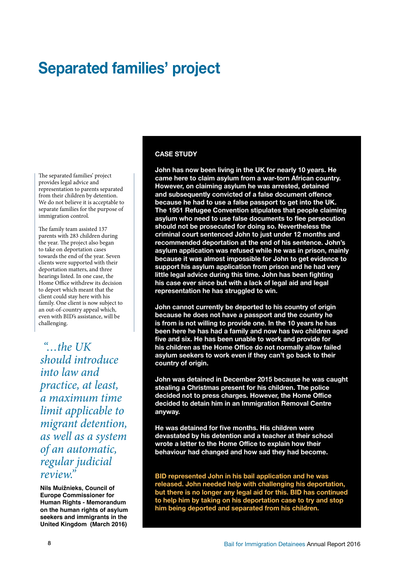### **Separated families' project**

The separated families' project provides legal advice and representation to parents separated from their children by detention. We do not believe it is acceptable to separate families for the purpose of immigration control.

The family team assisted 137 parents with 283 children during the year. The project also began to take on deportation cases towards the end of the year. Seven clients were supported with their deportation matters, and three hearings listed. In one case, the Home Office withdrew its decision to deport which meant that the client could stay here with his family. One client is now subject to an out-of-country appeal which, even with BID's assistance, will be challenging.

 *"…the UK should introduce into law and practice, at least, a maximum time limit applicable to migrant detention, as well as a system of an automatic, regular judicial review."* 

**Nils Muižnieks, Council of Europe Commissioner for Human Rights - Memorandum on the human rights of asylum seekers and immigrants in the United Kingdom (March 2016)**

#### **CASE STUDY**

**John has now been living in the UK for nearly 10 years. He came here to claim asylum from a war-torn African country. However, on claiming asylum he was arrested, detained and subsequently convicted of a false document offence because he had to use a false passport to get into the UK. The 1951 Refugee Convention stipulates that people claiming asylum who need to use false documents to flee persecution should not be prosecuted for doing so. Nevertheless the criminal court sentenced John to just under 12 months and recommended deportation at the end of his sentence. John's asylum application was refused while he was in prison, mainly because it was almost impossible for John to get evidence to support his asylum application from prison and he had very little legal advice during this time. John has been fighting his case ever since but with a lack of legal aid and legal representation he has struggled to win.** 

**John cannot currently be deported to his country of origin because he does not have a passport and the country he is from is not willing to provide one. In the 10 years he has been here he has had a family and now has two children aged five and six. He has been unable to work and provide for his children as the Home Office do not normally allow failed asylum seekers to work even if they can't go back to their country of origin.**

**John was detained in December 2015 because he was caught stealing a Christmas present for his children. The police decided not to press charges. However, the Home Office decided to detain him in an Immigration Removal Centre anyway.**

**He was detained for five months. His children were devastated by his detention and a teacher at their school wrote a letter to the Home Office to explain how their behaviour had changed and how sad they had become.** 

**BID represented John in his bail application and he was released. John needed help with challenging his deportation, but there is no longer any legal aid for this. BID has continued to help him by taking on his deportation case to try and stop him being deported and separated from his children.**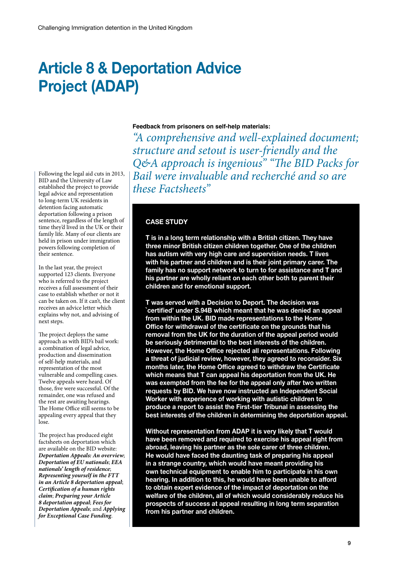### **Article 8 & Deportation Advice Project (ADAP)**

Following the legal aid cuts in 2013, BID and the University of Law established the project to provide legal advice and representation to long-term UK residents in detention facing automatic deportation following a prison sentence, regardless of the length of time they'd lived in the UK or their family life. Many of our clients are held in prison under immigration powers following completion of their sentence.

In the last year, the project supported 123 clients. Everyone who is referred to the project receives a full assessment of their case to establish whether or not it can be taken on. If it can't, the client receives an advice letter which explains why not, and advising of next steps.

The project deploys the same approach as with BID's bail work: a combination of legal advice, production and dissemination of self-help materials, and representation of the most vulnerable and compelling cases. Twelve appeals were heard. Of those, five were successful. Of the remainder, one was refused and the rest are awaiting hearings. The Home Office still seems to be appealing every appeal that they lose.

The project has produced eight factsheets on deportation which are available on the BID website: *Deportation Appeals: An overview*; *Deportation of EU nationals*; *EEA nationals' length of residence*; *Representing yourself in the FTT in an Article 8 deportation appeal*; *Certification of a human rights claim*; *Preparing your Article 8 deportation appeal*; *Fees for Deportation Appeals*; and *Applying for Exceptional Case Funding*.

#### **Feedback from prisoners on self-help materials:**

*"A comprehensive and well-explained document; structure and setout is user-friendly and the Q&A approach is ingenious" "The BID Packs for Bail were invaluable and recherché and so are these Factsheets"*

#### **CASE STUDY**

**T is in a long term relationship with a British citizen. They have three minor British citizen children together. One of the children has autism with very high care and supervision needs. T lives with his partner and children and is their joint primary carer. The family has no support network to turn to for assistance and T and his partner are wholly reliant on each other both to parent their children and for emotional support.** 

**T was served with a Decision to Deport. The decision was `certified' under S.94B which meant that he was denied an appeal from within the UK. BID made representations to the Home Office for withdrawal of the certificate on the grounds that his removal from the UK for the duration of the appeal period would be seriously detrimental to the best interests of the children. However, the Home Office rejected all representations. Following a threat of judicial review, however, they agreed to reconsider. Six months later, the Home Office agreed to withdraw the Certificate which means that T can appeal his deportation from the UK. He was exempted from the fee for the appeal only after two written requests by BID. We have now instructed an Independent Social Worker with experience of working with autistic children to produce a report to assist the First-tier Tribunal in assessing the best interests of the children in determining the deportation appeal.** 

**Without representation from ADAP it is very likely that T would have been removed and required to exercise his appeal right from abroad, leaving his partner as the sole carer of three children. He would have faced the daunting task of preparing his appeal in a strange country, which would have meant providing his own technical equipment to enable him to participate in his own hearing. In addition to this, he would have been unable to afford to obtain expert evidence of the impact of deportation on the welfare of the children, all of which would considerably reduce his prospects of success at appeal resulting in long term separation from his partner and children.**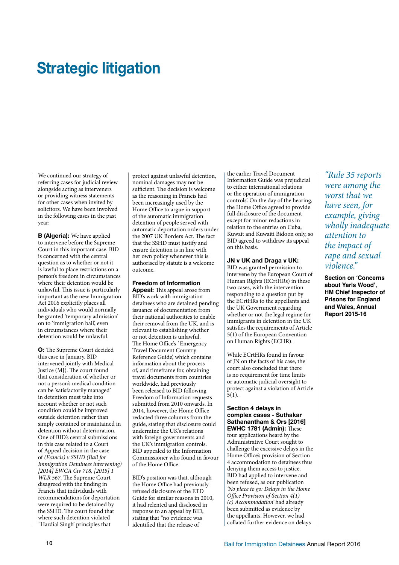### **Strategic litigation**

We continued our strategy of referring cases for judicial review alongside acting as interveners or providing witness statements for other cases when invited by solicitors. We have been involved in the following cases in the past year:

**B (Algeria):** We have applied to intervene before the Supreme Court in this important case. BID is concerned with the central question as to whether or not it is lawful to place restrictions on a person's freedom in circumstances where their detention would be unlawful. This issue is particularly important as the new Immigration Act 2016 explicitly places all individuals who would normally be granted 'temporary admission' on to 'immigration bail', even in circumstances where their detention would be unlawful.

**O:** The Supreme Court decided this case in January. BID intervened jointly with Medical Justice (MJ). The court found that consideration of whether or not a person's medical condition can be 'satisfactorily managed' in detention must take into account whether or not such condition could be improved outside detention rather than simply contained or maintained in detention without deterioration. One of BID's central submissions in this case related to a Court of Appeal decision in the case of *(Francis) v SSHD (Bail for Immigration Detainees intervening) [2014] EWCA Civ 718, [2015] 1 WLR 567*. The Supreme Court disagreed with the finding in Francis that individuals with recommendations for deportation were required to be detained by the SSHD. The court found that where such detention violated `Hardial Singh' principles that

protect against unlawful detention, nominal damages may not be sufficient. The decision is welcome as the reasoning in Francis had been increasingly used by the Home Office to argue in support of the automatic immigration detention of people served with automatic deportation orders under the 2007 UK Borders Act. The fact that the SSHD must justify and ensure detention is in line with her own policy whenever this is authorised by statute is a welcome outcome.

#### **Freedom of Information**

**Appeal:** This appeal arose from BID's work with immigration detainees who are detained pending issuance of documentation from their national authorities to enable their removal from the UK, and is relevant to establishing whether or not detention is unlawful. The Home Office's `Emergency Travel Document Country Reference Guide', which contains information about the process of, and timeframe for, obtaining travel documents from countries worldwide, had previously been released to BID following Freedom of Information requests submitted from 2010 onwards. In 2014, however, the Home Office redacted three columns from the guide, stating that disclosure could undermine the UK's relations with foreign governments and the UK's immigration controls. BID appealed to the Information Commissioner who found in favour of the Home Office.

BID's position was that, although the Home Office had previously refused disclosure of the ETD Guide for similar reasons in 2010, it had relented and disclosed in response to an appeal by BID, stating that "no evidence was identified that the release of

the earlier Travel Document Information Guide was prejudicial to either international relations or the operation of immigration controls'. On the day of the hearing, the Home Office agreed to provide full disclosure of the document except for minor redactions in relation to the entries on Cuba, Kuwait and Kuwaiti Bidoon only, so BID agreed to withdraw its appeal on this basis.

#### **JN v UK and Draga v UK:**

BID was granted permission to intervene by the European Court of Human Rights (ECrtHRs) in these two cases, with the intervention responding to a question put by the ECrtHRs to the appellants and the UK Government regarding whether or not the legal regime for immigrants in detention in the UK satisfies the requirements of Article 5(1) of the European Convention on Human Rights (ECHR).

While ECrtHRs found in favour of JN on the facts of his case, the court also concluded that there is no requirement for time limits or automatic judicial oversight to protect against a violation of Article 5(1).

#### **Section 4 delays in complex cases - Suthakar Sathanantham & Ors [2016] EWHC 1781 (Admin):** These

four applications heard by the Administrative Court sought to challenge the excessive delays in the Home Office's provision of Section 4 accommodation to detainees thus denying them access to justice. BID had applied to intervene and been refused, as our publication *'No place to go: Delays in the Home Office Provision of Section 4(1) (c) Accommodation'* had already been submitted as evidence by the appellants. However, we had collated further evidence on delays

*"Rule 35 reports were among the worst that we have seen, for example, giving wholly inadequate attention to the impact of rape and sexual violence."* 

**Section on 'Concerns about Yarls Wood', HM Chief Inspector of Prisons for England and Wales, Annual Report 2015-16**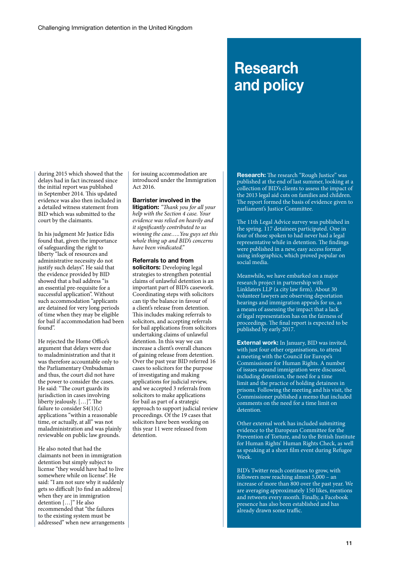### **Research and policy**

during 2015 which showed that the delays had in fact increased since the initial report was published in September 2014. This updated evidence was also then included in a detailed witness statement from BID which was submitted to the court by the claimants.

In his judgment Mr Justice Edis found that, given the importance of safeguarding the right to liberty "lack of resources and administrative necessity do not justify such delays". He said that the evidence provided by BID showed that a bail address "is an essential pre-requisite for a successful application". Without such accommodation "applicants" are detained for very long periods of time when they may be eligible for bail if accommodation had been found".

He rejected the Home Office's argument that delays were due to maladministration and that it was therefore accountable only to the Parliamentary Ombudsman and thus, the court did not have the power to consider the cases. He said: "The court guards its jurisdiction in cases involving liberty jealously. […]". The failure to consider  $S4(1)(c)$ applications "within a reasonable time, or actually, at all" was not maladministration and was plainly reviewable on public law grounds.

He also noted that had the claimants not been in immigration detention but simply subject to license "they would have had to live somewhere while on license". He said: "I am not sure why it suddenly gets so difficult [to find an address] when they are in immigration detention […]" He also recommended that "the failures to the existing system must be addressed" when new arrangements for issuing accommodation are introduced under the Immigration Act 2016.

#### **Barrister involved in the**

**litigation:** *"Thank you for all your help with the Section 4 case. Your evidence was relied on heavily and it significantly contributed to us winning the case…..You guys set this whole thing up and BID's concerns have been vindicated."*

#### **Referrals to and from**

**solicitors:** Developing legal strategies to strengthen potential claims of unlawful detention is an important part of BID's casework. Coordinating steps with solicitors can tip the balance in favour of a client's release from detention. This includes making referrals to solicitors, and accepting referrals for bail applications from solicitors undertaking claims of unlawful detention. In this way we can increase a client's overall chances of gaining release from detention. Over the past year BID referred 16 cases to solicitors for the purpose of investigating and making applications for judicial review, and we accepted 3 referrals from solicitors to make applications for bail as part of a strategic approach to support judicial review proceedings. Of the 19 cases that solicitors have been working on this year 11 were released from detention.

**Research:** The research "Rough Justice" was published at the end of last summer, looking at a collection of BID's clients to assess the impact of the 2013 legal aid cuts on families and children. The report formed the basis of evidence given to parliament's Justice Committee.

The 11th Legal Advice survey was published in the spring. 117 detainees participated. One in four of those spoken to had never had a legal representative while in detention. The findings were published in a new, easy access format using infographics, which proved popular on social media.

Meanwhile, we have embarked on a major research project in partnership with Linklaters LLP (a city law firm). About 30 volunteer lawyers are observing deportation hearings and immigration appeals for us, as a means of assessing the impact that a lack of legal representation has on the fairness of proceedings. The final report is expected to be published by early 2017.

**External work:** In January, BID was invited, with just four other organisations, to attend a meeting with the Council for Europe's Commissioner for Human Rights. A number of issues around immigration were discussed, including detention, the need for a time limit and the practice of holding detainees in prisons. Following the meeting and his visit, the Commissioner published a memo that included comments on the need for a time limit on detention.

Other external work has included submitting evidence to the European Committee for the Prevention of Torture, and to the British Institute for Human Rights' Human Rights Check, as well as speaking at a short film event during Refugee Week.

BID's Twitter reach continues to grow, with followers now reaching almost 5,000 – an increase of more than 800 over the past year. We are averaging approximately 150 likes, mentions and retweets every month. Finally, a Facebook presence has also been established and has already drawn some traffic.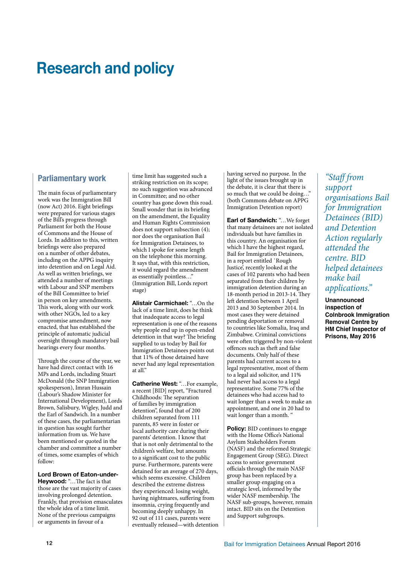### **Research and policy**

#### **Parliamentary work**

The main focus of parliamentary work was the Immigration Bill (now Act) 2016. Eight briefings were prepared for various stages of the Bill's progress through Parliament for both the House of Commons and the House of Lords. In addition to this, written briefings were also prepared on a number of other debates, including on the APPG inquiry into detention and on Legal Aid. As well as written briefings, we attended a number of meetings with Labour and SNP members of the Bill Committee to brief in person on key amendments. This work, along with our work with other NGOs, led to a key compromise amendment, now enacted, that has established the principle of automatic judicial oversight through mandatory bail hearings every four months.

Through the course of the year, we have had direct contact with 16 MPs and Lords, including Stuart McDonald (the SNP Immigration spokesperson), Imran Hussain (Labour's Shadow Minister for International Development), Lords Brown, Salisbury, Wigley, Judd and the Earl of Sandwich. In a number of these cases, the parliamentarian in question has sought further information from us. We have been mentioned or quoted in the chamber and committee a number of times, some examples of which follow:

**Lord Brown of Eaton-under-Heywood:** "…The fact is that those are the vast majority of cases involving prolonged detention. Frankly, that provision emasculates the whole idea of a time limit. None of the previous campaigns or arguments in favour of a

time limit has suggested such a striking restriction on its scope; no such suggestion was advanced in Committee; and no other country has gone down this road. Small wonder that in its briefing on the amendment, the Equality and Human Rights Commission does not support subsection (4); nor does the organisation Bail for Immigration Detainees, to which I spoke for some length on the telephone this morning. It says that, with this restriction, it would regard the amendment as essentially pointless…" (Immigration Bill, Lords report stage)

**Alistair Carmichael:** "…On the lack of a time limit, does he think that inadequate access to legal representation is one of the reasons why people end up in open-ended detention in that way? The briefing supplied to us today by Bail for Immigration Detainees points out that 11% of those detained have never had any legal representation at all."

**Catherine West:** "…For example, a recent [BID] report, "Fractured Childhoods: The separation of families by immigration detention", found that of 200 children separated from 111 parents, 85 were in foster or local authority care during their parents' detention. I know that that is not only detrimental to the children's welfare, but amounts to a significant cost to the public purse. Furthermore, parents were detained for an average of 270 days, which seems excessive. Children described the extreme distress they experienced: losing weight, having nightmares, suffering from insomnia, crying frequently and becoming deeply unhappy. In 92 out of 111 cases, parents were eventually released—with detention having served no purpose. In the light of the issues brought up in the debate, it is clear that there is so much that we could be doing…" (both Commons debate on APPG Immigration Detention report)

**Earl of Sandwich:** "…We forget that many detainees are not isolated individuals but have families in this country. An organisation for which I have the highest regard, Bail for Immigration Detainees, in a report entitled `Rough Justice', recently looked at the cases of 102 parents who had been separated from their children by immigration detention during an 18-month period in 2013-14. They left detention between 1 April 2013 and 30 September 2014. In most cases they were detained pending deportation or removal to countries like Somalia, Iraq and Zimbabwe. Criminal convictions were often triggered by non-violent offences such as theft and false documents. Only half of these parents had current access to a legal representative, most of them to a legal aid solicitor, and 11% had never had access to a legal representative. Some 77% of the detainees who had access had to wait longer than a week to make an appointment, and one in 20 had to wait longer than a month.

**Policy:** BID continues to engage with the Home Office's National Asylum Stakeholders Forum (NASF) and the reformed Strategic Engagement Group (SEG). Direct access to senior government officials through the main NASF group has been replaced by a smaller group engaging on a strategic level, informed by the wider NASF membership. The NASF sub-groups, however, remain intact. BID sits on the Detention and Support subgroups.

*"Staff from support organisations Bail for Immigration Detainees (BID) and Detention Action regularly attended the centre. BID helped detainees make bail applications."* 

**Unannounced inspection of Colnbrook Immigration Removal Centre by HM Chief Inspector of Prisons, May 2016**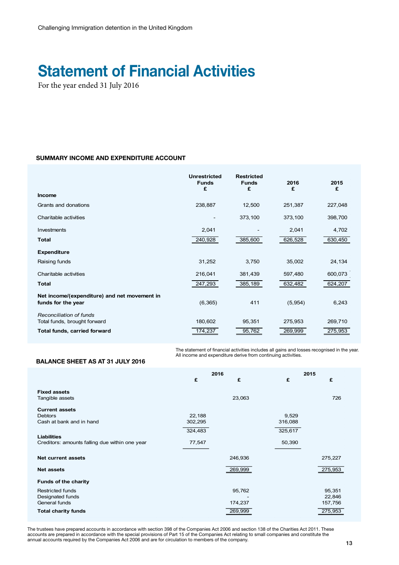### **Statement of Financial Activities**

For the year ended 31 July 2016

#### **SUMMARY INCOME AND EXPENDITURE ACCOUNT**

|                                                                    | <b>Unrestricted</b><br><b>Funds</b><br>£ | <b>Restricted</b><br><b>Funds</b><br>£ | 2016<br>£ | 2015<br>£ |
|--------------------------------------------------------------------|------------------------------------------|----------------------------------------|-----------|-----------|
| <b>Income</b>                                                      |                                          |                                        |           |           |
| Grants and donations                                               | 238,887                                  | 12,500                                 | 251,387   | 227,048   |
| Charitable activities                                              |                                          | 373,100                                | 373,100   | 398,700   |
| Investments                                                        | 2,041                                    |                                        | 2,041     | 4,702     |
| <b>Total</b>                                                       | 240,928                                  | 385,600                                | 626,528   | 630,450   |
| <b>Expenditure</b>                                                 |                                          |                                        |           |           |
| Raising funds                                                      | 31,252                                   | 3,750                                  | 35,002    | 24,134    |
| Charitable activities                                              | 216,041                                  | 381,439                                | 597,480   | 600,073   |
| <b>Total</b>                                                       | 247,293                                  | 385,189                                | 632,482   | 624,207   |
| Net income/(expenditure) and net movement in<br>funds for the year | (6, 365)                                 | 411                                    | (5,954)   | 6,243     |
| Reconciliation of funds<br>Total funds, brought forward            | 180,602                                  | 95,351                                 | 275,953   | 269,710   |
| Total funds, carried forward                                       | 174,237                                  | 95,762                                 | 269,999   | 275,953   |

The statement of imariolal activities includes an gains and to.<br>All income and expenditure derive from continuing activities. The statement of financial activities includes all gains and losses recognised in the year.

#### **BALANCE SHEET AS AT 31 JULY 2016**

|                                                | 2016    |         | 2015    |         |
|------------------------------------------------|---------|---------|---------|---------|
|                                                | £       | £       | £       | £       |
| <b>Fixed assets</b>                            |         |         |         |         |
| Tangible assets                                |         | 23,063  |         | 726     |
| <b>Current assets</b>                          |         |         |         |         |
| <b>Debtors</b>                                 | 22,188  |         | 9,529   |         |
| Cash at bank and in hand                       | 302,295 |         | 316,088 |         |
|                                                | 324,483 |         | 325,617 |         |
| <b>Liabilities</b>                             |         |         |         |         |
| Creditors: amounts falling due within one year | 77,547  |         | 50,390  |         |
|                                                |         |         |         |         |
| <b>Net current assets</b>                      |         | 246,936 |         | 275,227 |
| <b>Net assets</b>                              |         | 269,999 |         | 275,953 |
| <b>Funds of the charity</b>                    |         |         |         |         |
| <b>Restricted funds</b>                        |         | 95,762  |         | 95,351  |
| Designated funds                               |         |         |         | 22,846  |
| General funds                                  |         | 174,237 |         | 157,756 |
| <b>Total charity funds</b>                     |         | 269,999 |         | 275,953 |

annual document quite by the companies for 2000 and are for one diamon to mombole of the company. bunts are prepared in accordance with the special provisions of Part 15 of the Companies Act relating to small companies and constitute the de about the required by the companient ret book and all for photodation to mombole of the company. The trustees have prepared accounts in accordance with section 398 of the Companies Act 2006 and section 138 of the Charities Act 2011. These accounts are prepared in accordance with the special provisions of Part 15 of the Companies Act relating to small companies and constitute the annual accounts required by the Companies Act 2006 and are for circulation to members of the company.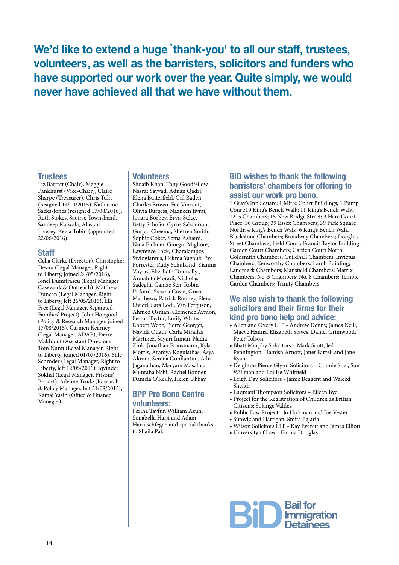**We'd like to extend a huge `thank-you' to all our staff, trustees, volunteers, as well as the barristers, solicitors and funders who have supported our work over the year. Quite simply, we would never have achieved all that we have without them.**

#### **Trustees**

Liz Barratt (Chair), Maggie Pankhurst (Vice-Chair), Claire Sharpe (Treasurer), Chris Tully (resigned 14/10/2015), Katharine Sacks-Jones (resigned 17/08/2016), Ruth Stokes, Saoirse Townshend, Sandeep Katwala, Alastair Livesey, Kezia Tobin (appointed 22/06/2016).

#### **Staff**

Celia Clarke (Director), Christopher Desira (Legal Manager, Right to Liberty, joined 24/05/2016), Ionel Dumitrascu (Legal Manager Casework & Outreach), Matthew Duncan (Legal Manager, Right to Liberty, left 26/05/2016), Elli Free (Legal Manager, Separated Families' Project), John Hopgood, (Policy & Research Manager, joined 17/08/2015), Carmen Kearney (Legal Manager, ADAP), Pierre Makhlouf (Assistant Director), Tom Nunn (Legal Manager, Right to Liberty, joined 01/07/2016), Sille Schroder (Legal Manager, Right to Liberty, left 12/05/2016), Iqvinder Sokhal (Legal Manager, Prisons' Project), Adeline Trude (Research & Policy Manager, left 31/08/2015), Kamal Yasin (Office & Finance Manager).

#### **Volunteers**

Shoaib Khan, Tony Goodfellow, Nasrat Sayyad, Adnan Qadri, Elena Butterfield, Gill Baden, Charles Brown, Fae Vincent, Olivia Burgess, Nazneen Jivraj, Johara Borbey, Ervis Sulce, Betty Schofer, Cyrus Sabourian, Gurpal Cheema, Sherren Smith, Sophie Coker, Sema Ashami, Nina Eichner, Giorgio Migliore, Lawrence Lock, Charalampos Stylogiannis, Hekma Yagoub, Eve Forrester, Rudy Schulkind, Yiannis Voyias, Elizabeth Donnelly , Annahita Moradi, Nicholas Sadeghi, Gamze Sen, Robin Pickard, Susana Costa, Grace Matthews, Patrick Rooney, Elena Livieri, Sara Lodi, Van Ferguson, Ahmed Osman, Clemence Aymon, Feriha Tayfur, Emily White, Robert Webb, Pierre Georget, Navida Quadi, Carla Mirallas Martinez, Sayuri Inman, Nadia Zink, Jonathan Fransmann, Kyla Morris, Araniya Kogulathas, Asya Akram, Serena Gonfiantini, Aditi Jaganathan, Maryam Masalha, Muntaha Nabi, Rachel Bonner, Daniela O'Reilly, Helen Ukbay.

#### **BPP Pro Bono Centre volunteers:**

Feriha Tayfur, William Azuh, Sonabella Harji and Adam Harnischfeger, and special thanks to Shaila Pal.

#### **BID wishes to thank the following barristers' chambers for offering to assist our work pro bono.**

1 Gray's Inn Square; 1 Mitre Court Buildings; 1 Pump Court;10 King's Bench Walk; 11 King's Bench Walk; 1215 Chambers; 15 New Bridge Street; 3 Hare Court Place; 36 Group; 39 Essex Chambers; 39 Park Square North; 4 King's Bench Walk; 6 King's Bench Walk; Blackstone Chambers; Broadway Chambers; Doughty Street Chambers; Field Court; Francis Taylor Building; Garden Court Chambers; Garden Court North; Goldsmith Chambers; Guildhall Chambers; Invictus Chambers; Kenworthy Chambers; Lamb Building; Landmark Chambers; Mansfield Chambers; Matrix Chambers; No. 5 Chambers; No. 8 Chambers; Temple Garden Chambers; Trinity Chambers.

#### **We also wish to thank the following solicitors and their firms for their kind pro bono help and advice:**

- Allen and Overy LLP Andrew Denny, James Neill, Maeve Hanna, Elizabeth Staves, Daniel Grimwood, Peter Tolson
- Bhatt Murphy Solicitors Mark Scott, Jed Pennington, Hamish Arnott, Janet Farrell and Jane Ryan
- Deighton Pierce Glynn Solicitors Connie Sozi, Sue Willman and Louise Whitfield
- Leigh Day Solicitors Jamie Beagent and Waleed Sheikh
- Luqmani Thompson Solicitors Eileen Bye
- Project for the Registration of Children as British Citizens: Solange Valdez
- Public Law Project Jo Hickman and Joe Vester
- Sutovic and Hartigan: Smita Bajaria
- Wilson Solicitors LLP Kay Everett and James Elliott
- University of Law Emma Douglas

**Bail for<br>Bill Immigration**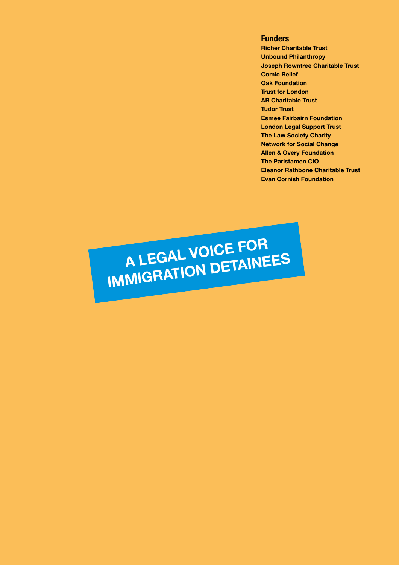**Funders Richer Charitable Trust Unbound Philanthropy Joseph Rowntree Charitable Trust Comic Relief Oak Foundation Trust for London AB Charitable Trust Tudor Trust Esmee Fairbairn Foundation London Legal Support Trust The Law Society Charity Network for Social Change Allen & Overy Foundation The Paristamen CIO Eleanor Rathbone Charitable Trust Evan Cornish Foundation**

**A LEGAL VOICE FOR**  A LEGAL VOIDETAINEES